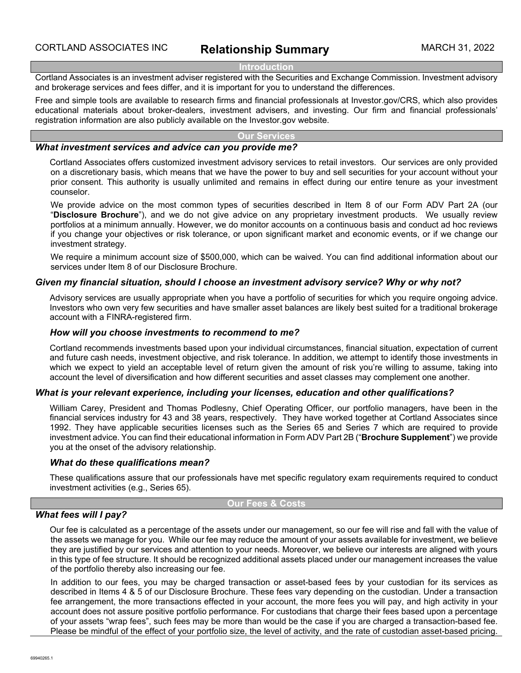#### **Introduction**

Cortland Associates is an investment adviser registered with the Securities and Exchange Commission. Investment advisory and brokerage services and fees differ, and it is important for you to understand the differences.

Free and simple tools are available to research firms and financial professionals at Investor.gov/CRS, which also provides educational materials about broker-dealers, investment advisers, and investing. Our firm and financial professionals' registration information are also publicly available on the Investor.gov website.

## **Our Services**

## *What investment services and advice can you provide me?*

Cortland Associates offers customized investment advisory services to retail investors. Our services are only provided on a discretionary basis, which means that we have the power to buy and sell securities for your account without your prior consent. This authority is usually unlimited and remains in effect during our entire tenure as your investment counselor.

We provide advice on the most common types of securities described in Item 8 of our Form ADV Part 2A (our "**Disclosure Brochure**"), and we do not give advice on any proprietary investment products. We usually review portfolios at a minimum annually. However, we do monitor accounts on a continuous basis and conduct ad hoc reviews if you change your objectives or risk tolerance, or upon significant market and economic events, or if we change our investment strategy.

We require a minimum account size of \$500,000, which can be waived. You can find additional information about our services under Item 8 of our Disclosure Brochure.

## *Given my financial situation, should I choose an investment advisory service? Why or why not?*

Advisory services are usually appropriate when you have a portfolio of securities for which you require ongoing advice. Investors who own very few securities and have smaller asset balances are likely best suited for a traditional brokerage account with a FINRA-registered firm.

### *How will you choose investments to recommend to me?*

Cortland recommends investments based upon your individual circumstances, financial situation, expectation of current and future cash needs, investment objective, and risk tolerance. In addition, we attempt to identify those investments in which we expect to yield an acceptable level of return given the amount of risk you're willing to assume, taking into account the level of diversification and how different securities and asset classes may complement one another.

#### *What is your relevant experience, including your licenses, education and other qualifications?*

William Carey, President and Thomas Podlesny, Chief Operating Officer, our portfolio managers, have been in the financial services industry for 43 and 38 years, respectively. They have worked together at Cortland Associates since 1992. They have applicable securities licenses such as the Series 65 and Series 7 which are required to provide investment advice. You can find their educational information in Form ADV Part 2B ("**Brochure Supplement**") we provide you at the onset of the advisory relationship.

#### *What do these qualifications mean?*

These qualifications assure that our professionals have met specific regulatory exam requirements required to conduct investment activities (e.g., Series 65).

#### **Our Fees & Costs**

## *What fees will I pay?*

Our fee is calculated as a percentage of the assets under our management, so our fee will rise and fall with the value of the assets we manage for you. While our fee may reduce the amount of your assets available for investment, we believe they are justified by our services and attention to your needs. Moreover, we believe our interests are aligned with yours in this type of fee structure. It should be recognized additional assets placed under our management increases the value of the portfolio thereby also increasing our fee.

In addition to our fees, you may be charged transaction or asset-based fees by your custodian for its services as described in Items 4 & 5 of our Disclosure Brochure. These fees vary depending on the custodian. Under a transaction fee arrangement, the more transactions effected in your account, the more fees you will pay, and high activity in your account does not assure positive portfolio performance. For custodians that charge their fees based upon a percentage of your assets "wrap fees", such fees may be more than would be the case if you are charged a transaction-based fee. Please be mindful of the effect of your portfolio size, the level of activity, and the rate of custodian asset-based pricing.